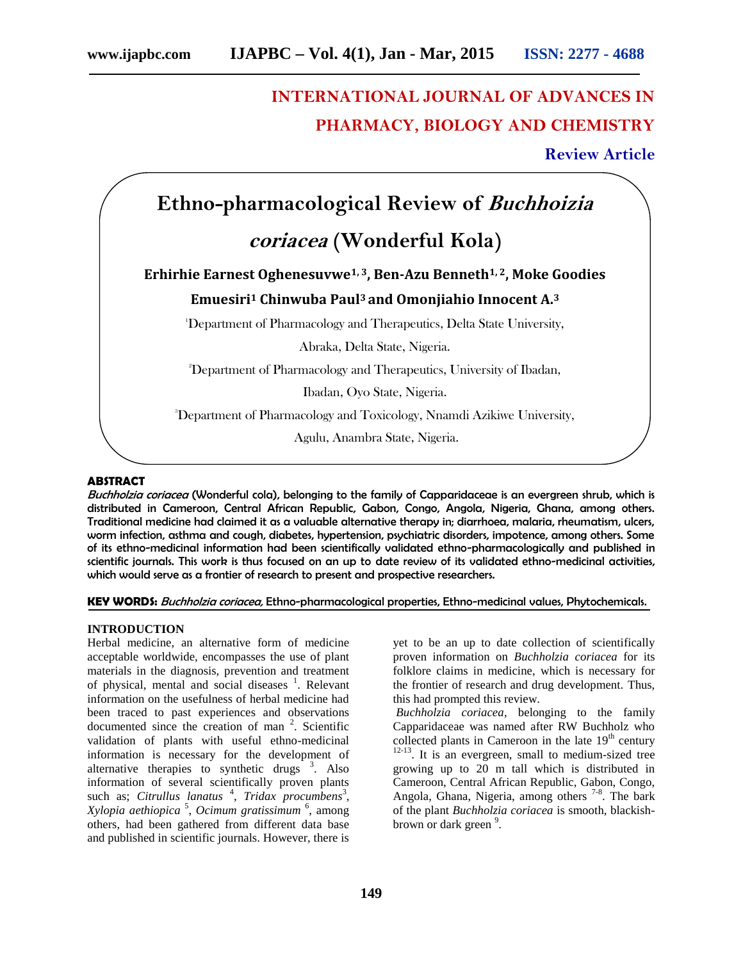# **INTERNATIONAL JOURNAL OF ADVANCES IN PHARMACY, BIOLOGY AND CHEMISTRY**

#### **Review Article**

## **Ethno-pharmacological Review of** *Buchhoizia*

### *coriacea* **(Wonderful Kola)**

#### **Erhirhie Earnest Oghenesuvwe1, 3, Ben-Azu Benneth1, 2, Moke Goodies**

#### **Emuesiri<sup>1</sup> Chinwuba Paul<sup>3</sup> and Omonjiahio Innocent A.<sup>3</sup>**

<sup>1</sup>Department of Pharmacology and Therapeutics, Delta State University,

Abraka, Delta State, Nigeria.

<sup>2</sup>Department of Pharmacology and Therapeutics, University of Ibadan,

Ibadan, Oyo State, Nigeria.

<sup>3</sup>Department of Pharmacology and Toxicology, Nnamdi Azikiwe University,

Agulu, Anambra State, Nigeria.

#### **ABSTRACT**

*Buchholzia coriacea* (Wonderful cola), belonging to the family of Capparidaceae is an evergreen shrub, which is distributed in Cameroon, Central African Republic, Gabon, Congo, Angola, Nigeria, Ghana, among others. Traditional medicine had claimed it as a valuable alternative therapy in; diarrhoea, malaria, rheumatism, ulcers, worm infection, asthma and cough, diabetes, hypertension, psychiatric disorders, impotence, among others. Some of its ethno-medicinal information had been scientifically validated ethno-pharmacologically and published in scientific journals. This work is thus focused on an up to date review of its validated ethno-medicinal activities, which would serve as a frontier of research to present and prospective researchers.

#### **KEY WORDS:** *Buchholzia coriacea,* Ethno-pharmacological properties, Ethno-medicinal values, Phytochemicals.

#### **INTRODUCTION**

Herbal medicine, an alternative form of medicine acceptable worldwide, encompasses the use of plant materials in the diagnosis, prevention and treatment of physical, mental and social diseases 1 . Relevant information on the usefulness of herbal medicine had been traced to past experiences and observations documented since the creation of man  $2$ . Scientific validation of plants with useful ethno-medicinal information is necessary for the development of alternative therapies to synthetic drugs  $3$ . Also information of several scientifically proven plants such as; *Citrullus lanatus*<sup>4</sup>, *Tridax procumbens*<sup>3</sup>, *Xylopia aethiopica* <sup>5</sup> , *Ocimum gratissimum* <sup>6</sup> , among others, had been gathered from different data base and published in scientific journals. However, there is

yet to be an up to date collection of scientifically proven information on *Buchholzia coriacea* for its folklore claims in medicine, which is necessary for the frontier of research and drug development. Thus, this had prompted this review.

*Buchholzia coriacea*, belonging to the family Capparidaceae was named after RW Buchholz who collected plants in Cameroon in the late  $19<sup>th</sup>$  century  $12-13$ . It is an evergreen, small to medium-sized tree growing up to 20 m tall which is distributed in Cameroon, Central African Republic, Gabon, Congo, Angola, Ghana, Nigeria, among others<sup>7-8</sup>. The bark of the plant *Buchholzia coriacea* is smooth, blackish brown or dark green <sup>9</sup>.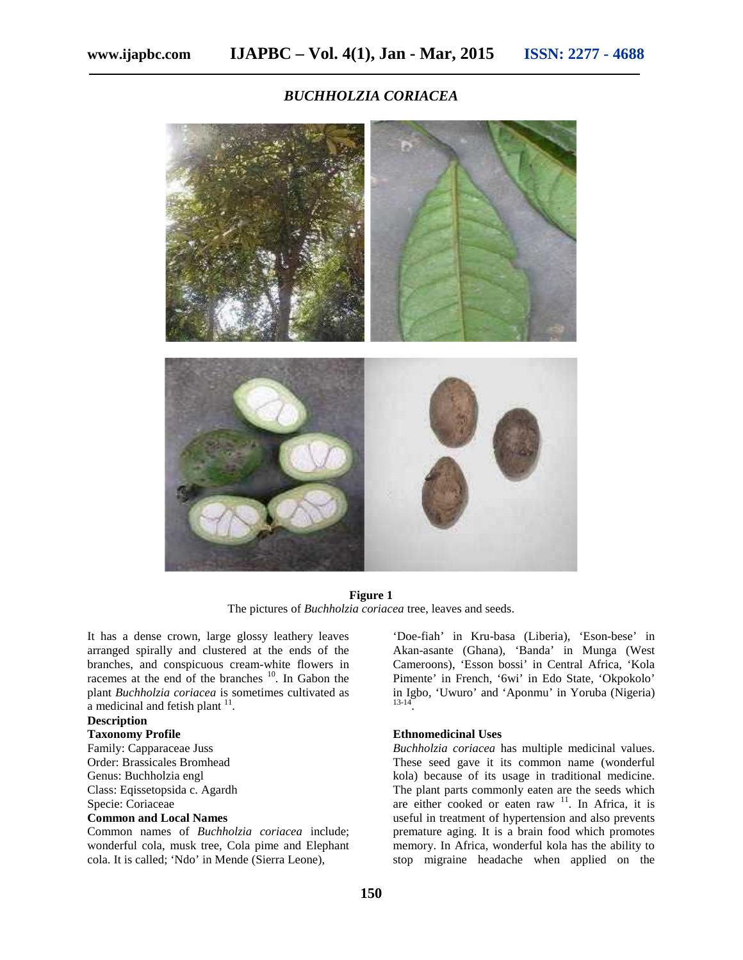*BUCHHOLZIA CORIACEA*



**Figure 1** The pictures of *Buchholzia coriacea* tree, leaves and seeds.

It has a dense crown, large glossy leathery leaves arranged spirally and clustered at the ends of the branches, and conspicuous cream-white flowers in racemes at the end of the branches <sup>10</sup>. In Gabon the plant *Buchholzia coriacea* is sometimes cultivated as a medicinal and fetish plant  $11$ .

#### **Description**

#### **Taxonomy Profile**

Family: Capparaceae Juss Order: Brassicales Bromhead Genus: Buchholzia engl Class: Eqissetopsida c. Agardh Specie: Coriaceae

#### **Common and Local Names**

Common names of *Buchholzia coriacea* include; wonderful cola, musk tree, Cola pime and Elephant cola. It is called; 'Ndo' in Mende (Sierra Leone),

'Doe-fiah' in Kru-basa (Liberia), 'Eson-bese' in Akan-asante (Ghana), 'Banda' in Munga (West Cameroons), 'Esson bossi' in Central Africa, 'Kola Pimente' in French, '6wi' in Edo State, 'Okpokolo' in Igbo, 'Uwuro' and 'Aponmu' in Yoruba (Nigeria) 13-14 .

#### **Ethnomedicinal Uses**

*Buchholzia coriacea* has multiple medicinal values. These seed gave it its common name (wonderful kola) because of its usage in traditional medicine. The plant parts commonly eaten are the seeds which are either cooked or eaten raw  $11$ . In Africa, it is useful in treatment of hypertension and also prevents premature aging. It is a brain food which promotes memory. In Africa, wonderful kola has the ability to stop migraine headache when applied on the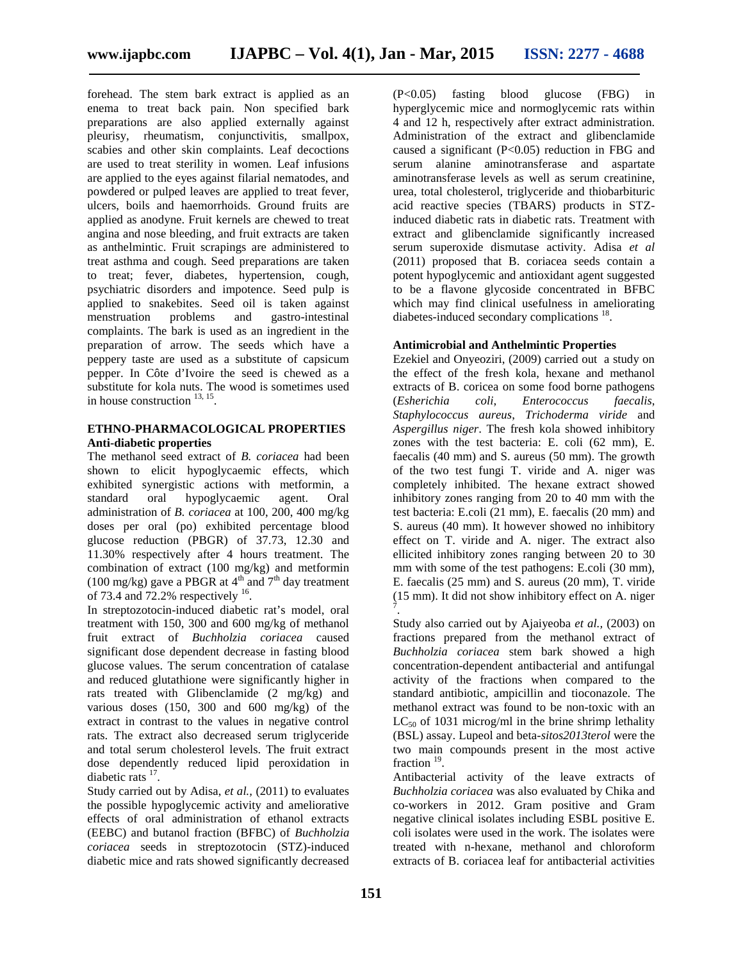forehead. The stem bark extract is applied as an  $(P<0.05)$  fasting enema to treat back pain. Non specified bark preparations are also applied externally against pleurisy, rheumatism, conjunctivitis, smallpox, scabies and other skin complaints. Leaf decoctions are used to treat sterility in women. Leaf infusions are applied to the eyes against filarial nematodes, and powdered or pulped leaves are applied to treat fever, ulcers, boils and haemorrhoids. Ground fruits are applied as anodyne. Fruit kernels are chewed to treat angina and nose bleeding, and fruit extracts are taken as anthelmintic. Fruit scrapings are administered to treat asthma and cough. Seed preparations are taken to treat; fever, diabetes, hypertension, cough, psychiatric disorders and impotence. Seed pulp is applied to snakebites. Seed oil is taken against menstruation problems and gastro-intestinal complaints. The bark is used as an ingredient in the preparation of arrow. The seeds which have a peppery taste are used as a substitute of capsicum pepper. In Côte d'Ivoire the seed is chewed as a substitute for kola nuts. The wood is sometimes used in house construction  $^{13, 15}$ .

#### **ETHNO-PHARMACOLOGICAL PROPERTIES Anti-diabetic properties**

The methanol seed extract of *B. coriacea* had been shown to elicit hypoglycaemic effects, which exhibited synergistic actions with metformin, a standard oral hypoglycaemic agent. Oral administration of *B. coriacea* at 100, 200, 400 mg/kg doses per oral (po) exhibited percentage blood glucose reduction (PBGR) of 37.73, 12.30 and 11.30% respectively after 4 hours treatment. The combination of extract (100 mg/kg) and metformin (100 mg/kg) gave a PBGR at  $4<sup>th</sup>$  and  $7<sup>th</sup>$  day treatment of 73.4 and 72.2% respectively  $16$ .

In streptozotocin-induced diabetic rat's model, oral treatment with 150, 300 and 600 mg/kg of methanol fruit extract of *Buchholzia coriacea* caused significant dose dependent decrease in fasting blood glucose values. The serum concentration of catalase and reduced glutathione were significantly higher in rats treated with Glibenclamide (2 mg/kg) and various doses (150, 300 and 600 mg/kg) of the extract in contrast to the values in negative control rats. The extract also decreased serum triglyceride and total serum cholesterol levels. The fruit extract dose dependently reduced lipid peroxidation in diabetic rats  $17$ .

Study carried out by Adisa, *et al.,* (2011) to evaluates the possible hypoglycemic activity and ameliorative effects of oral administration of ethanol extracts (EEBC) and butanol fraction (BFBC) of *Buchholzia coriacea* seeds in streptozotocin (STZ)-induced diabetic mice and rats showed significantly decreased

blood glucose (FBG) in hyperglycemic mice and normoglycemic rats within 4 and 12 h, respectively after extract administration. Administration of the extract and glibenclamide caused a significant (P<0.05) reduction in FBG and serum alanine aminotransferase and aspartate aminotransferase levels as well as serum creatinine, urea, total cholesterol, triglyceride and thiobarbituric acid reactive species (TBARS) products in STZinduced diabetic rats in diabetic rats. Treatment with extract and glibenclamide significantly increased serum superoxide dismutase activity. Adisa *et al* (2011) proposed that B. coriacea seeds contain a potent hypoglycemic and antioxidant agent suggested to be a flavone glycoside concentrated in BFBC which may find clinical usefulness in ameliorating diabetes-induced secondary complications <sup>18</sup>.

#### **Antimicrobial and Anthelmintic Properties**

Ezekiel and Onyeoziri, (2009) carried out a study on the effect of the fresh kola, hexane and methanol extracts of B. coricea on some food borne pathogens (*Esherichia coli*, *Enterococcus faecalis*, *Staphylococcus aureus*, *Trichoderma viride* and *Aspergillus niger*. The fresh kola showed inhibitory zones with the test bacteria: E. coli (62 mm), E. faecalis (40 mm) and S. aureus (50 mm). The growth of the two test fungi T. viride and A. niger was completely inhibited. The hexane extract showed inhibitory zones ranging from 20 to 40 mm with the test bacteria: E.coli (21 mm), E. faecalis (20 mm) and S. aureus (40 mm). It however showed no inhibitory effect on T. viride and A. niger. The extract also ellicited inhibitory zones ranging between 20 to 30 mm with some of the test pathogens: E.coli (30 mm), E. faecalis (25 mm) and S. aureus (20 mm), T. viride (15 mm). It did not show inhibitory effect on A. niger 7

.Study also carried out by Ajaiyeoba *et al.,* (2003) on fractions prepared from the methanol extract of *Buchholzia coriacea* stem bark showed a high concentration-dependent antibacterial and antifungal activity of the fractions when compared to the standard antibiotic, ampicillin and tioconazole. The methanol extract was found to be non-toxic with an  $LC_{50}$  of 1031 microg/ml in the brine shrimp lethality (BSL) assay. Lupeol and beta-*sitos2013terol* were the two main compounds present in the most active fraction  $19$ .

Antibacterial activity of the leave extracts of *Buchholzia coriacea* was also evaluated by Chika and co-workers in 2012. Gram positive and Gram negative clinical isolates including ESBL positive E. coli isolates were used in the work. The isolates were treated with n-hexane, methanol and chloroform extracts of B. coriacea leaf for antibacterial activities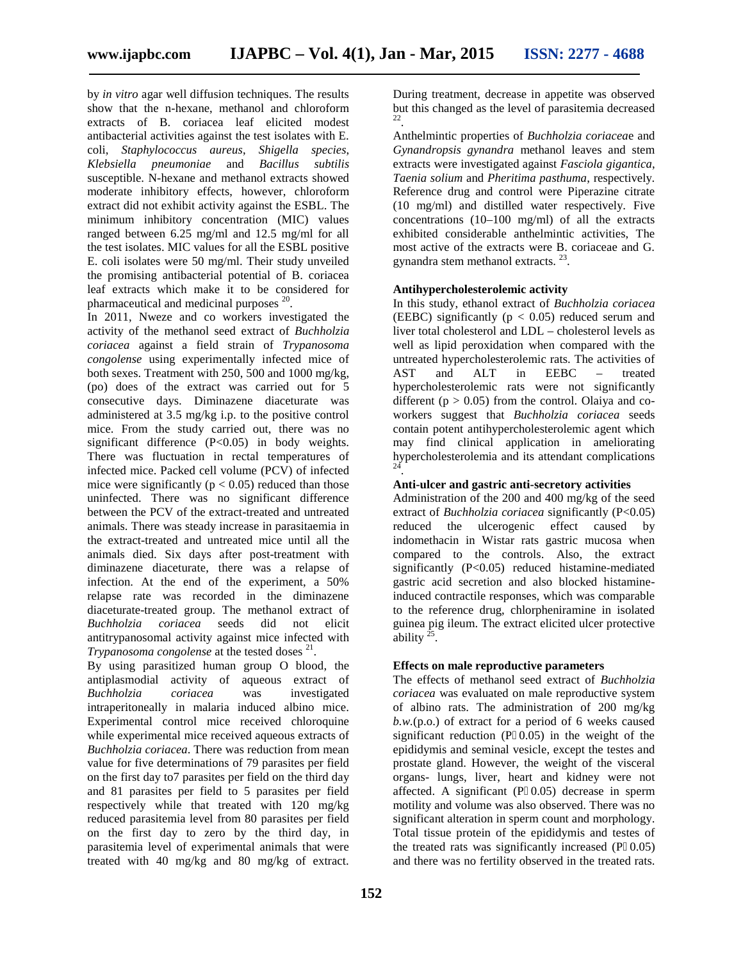by *in vitro* agar well diffusion techniques. The results show that the n-hexane, methanol and chloroform extracts of B. coriacea leaf elicited modest antibacterial activities against the test isolates with E. coli, *Staphylococcus aureus*, *Shigella species*, *Klebsiella pneumoniae* and *Bacillus subtilis* susceptible. N-hexane and methanol extracts showed moderate inhibitory effects, however, chloroform extract did not exhibit activity against the ESBL. The minimum inhibitory concentration (MIC) values ranged between 6.25 mg/ml and 12.5 mg/ml for all the test isolates. MIC values for all the ESBL positive E. coli isolates were 50 mg/ml. Their study unveiled the promising antibacterial potential of B. coriacea leaf extracts which make it to be considered for pharmaceutical and medicinal purposes <sup>20</sup>.

In 2011, Nweze and co workers investigated the activity of the methanol seed extract of *Buchholzia coriacea* against a field strain of *Trypanosoma congolense* using experimentally infected mice of both sexes. Treatment with 250, 500 and 1000 mg/kg, (po) does of the extract was carried out for 5 consecutive days. Diminazene diaceturate was administered at 3.5 mg/kg i.p. to the positive control mice. From the study carried out, there was no significant difference (P<0.05) in body weights. There was fluctuation in rectal temperatures of infected mice. Packed cell volume (PCV) of infected mice were significantly ( $p < 0.05$ ) reduced than those uninfected. There was no significant difference between the PCV of the extract-treated and untreated animals. There was steady increase in parasitaemia in the extract-treated and untreated mice until all the animals died. Six days after post-treatment with diminazene diaceturate, there was a relapse of infection. At the end of the experiment, a 50% relapse rate was recorded in the diminazene diaceturate-treated group. The methanol extract of *Buchholzia coriacea* seeds did not elicit antitrypanosomal activity against mice infected with *Trypanosoma congolense* at the tested doses<sup>21</sup>.

By using parasitized human group O blood, the antiplasmodial activity of aqueous extract of *Buchholzia coriacea* was investigated intraperitoneally in malaria induced albino mice. Experimental control mice received chloroquine while experimental mice received aqueous extracts of *Buchholzia coriacea*. There was reduction from mean value for five determinations of 79 parasites per field on the first day to7 parasites per field on the third day and 81 parasites per field to 5 parasites per field respectively while that treated with 120 mg/kg reduced parasitemia level from 80 parasites per field on the first day to zero by the third day, in parasitemia level of experimental animals that were treated with 40 mg/kg and 80 mg/kg of extract.

During treatment, decrease in appetite was observed but this changed as the level of parasitemia decreased 22 .

Anthelmintic properties of *Buchholzia coriacea*e and *Gynandropsis gynandra* methanol leaves and stem extracts were investigated against *Fasciola gigantica*, *Taenia solium* and *Pheritima pasthuma*, respectively. Reference drug and control were Piperazine citrate (10 mg/ml) and distilled water respectively. Five concentrations (10–100 mg/ml) of all the extracts exhibited considerable anthelmintic activities, The most active of the extracts were B. coriaceae and G. gynandra stem methanol extracts. <sup>23</sup>.

#### **Antihypercholesterolemic activity**

In this study, ethanol extract of *Buchholzia coriacea* (EEBC) significantly ( $p < 0.05$ ) reduced serum and liver total cholesterol and LDL – cholesterol levels as well as lipid peroxidation when compared with the untreated hypercholesterolemic rats. The activities of<br>AST and ALT in EEBC – treated AST and ALT in EEBC – treated hypercholesterolemic rats were not significantly different ( $p > 0.05$ ) from the control. Olaiya and coworkers suggest that *Buchholzia coriacea* seeds contain potent antihypercholesterolemic agent which may find clinical application in ameliorating hypercholesterolemia and its attendant complications  $24^{-}$ .

#### **Anti-ulcer and gastric anti-secretory activities**

Administration of the 200 and 400 mg/kg of the seed extract of *Buchholzia coriacea* significantly (P<0.05) ulcerogenic effect caused by indomethacin in Wistar rats gastric mucosa when compared to the controls. Also, the extract significantly (P<0.05) reduced histamine-mediated gastric acid secretion and also blocked histamineinduced contractile responses, which was comparable to the reference drug, chlorpheniramine in isolated guinea pig ileum. The extract elicited ulcer protective ability  $2^2$ .

#### **Effects on male reproductive parameters**

The effects of methanol seed extract of *Buchholzia coriacea* was evaluated on male reproductive system of albino rats. The administration of 200 mg/kg *b.w.*(p.o.) of extract for a period of 6 weeks caused significant reduction  $(P\ 0.05)$  in the weight of the epididymis and seminal vesicle, except the testes and prostate gland. However, the weight of the visceral organs- lungs, liver, heart and kidney were not affected. A significant  $(P\ 0.05)$  decrease in sperm motility and volume was also observed. There was no significant alteration in sperm count and morphology. Total tissue protein of the epididymis and testes of the treated rats was significantly increased (P 0.05) and there was no fertility observed in the treated rats.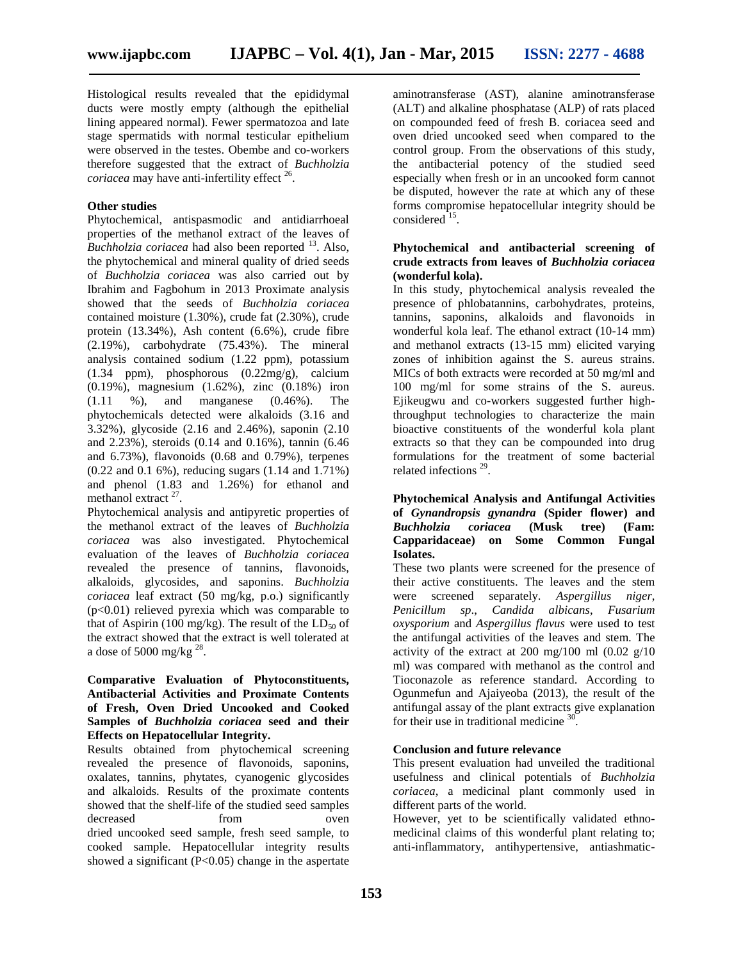Histological results revealed that the epididymal ducts were mostly empty (although the epithelial lining appeared normal). Fewer spermatozoa and late stage spermatids with normal testicular epithelium were observed in the testes. Obembe and co-workers therefore suggested that the extract of *Buchholzia coriacea* may have anti-infertility effect <sup>26</sup>.

#### **Other studies**

Phytochemical, antispasmodic and antidiarrhoeal properties of the methanol extract of the leaves of *Buchholzia coriacea* had also been reported <sup>13</sup>. Also, the phytochemical and mineral quality of dried seeds of *Buchholzia coriacea* was also carried out by Ibrahim and Fagbohum in 2013 Proximate analysis showed that the seeds of *Buchholzia coriacea* contained moisture (1.30%), crude fat (2.30%), crude protein (13.34%), Ash content (6.6%), crude fibre (2.19%), carbohydrate (75.43%). The mineral analysis contained sodium (1.22 ppm), potassium (1.34 ppm), phosphorous (0.22mg/g), calcium (0.19%), magnesium (1.62%), zinc (0.18%) iron (1.11 %), and manganese (0.46%). The phytochemicals detected were alkaloids (3.16 and 3.32%), glycoside (2.16 and 2.46%), saponin (2.10 and 2.23%), steroids (0.14 and 0.16%), tannin (6.46 and 6.73%), flavonoids (0.68 and 0.79%), terpenes (0.22 and 0.1 6%), reducing sugars (1.14 and 1.71%) and phenol (1.83 and 1.26%) for ethanol and methanol extract  $27$ .

Phytochemical analysis and antipyretic properties of the methanol extract of the leaves of *Buchholzia coriacea* was also investigated. Phytochemical evaluation of the leaves of *Buchholzia coriacea* revealed the presence of tannins, flavonoids, alkaloids, glycosides, and saponins. *Buchholzia coriacea* leaf extract (50 mg/kg, p.o.) significantly  $(p<0.01)$  relieved pyrexia which was comparable to that of Aspirin (100 mg/kg). The result of the  $LD_{50}$  of the extract showed that the extract is well tolerated at a dose of 5000 mg/kg  $^{28}$ .

#### **Comparative Evaluation of Phytoconstituents, Antibacterial Activities and Proximate Contents of Fresh, Oven Dried Uncooked and Cooked Samples of** *Buchholzia coriacea* **seed and their Effects on Hepatocellular Integrity.**

Results obtained from phytochemical screening revealed the presence of flavonoids, saponins, oxalates, tannins, phytates, cyanogenic glycosides and alkaloids. Results of the proximate contents showed that the shelf-life of the studied seed samples decreased from oven dried uncooked seed sample, fresh seed sample, to cooked sample. Hepatocellular integrity results showed a significant (P<0.05) change in the aspertate aminotransferase (AST), alanine aminotransferase (ALT) and alkaline phosphatase (ALP) of rats placed on compounded feed of fresh B. coriacea seed and oven dried uncooked seed when compared to the control group. From the observations of this study, the antibacterial potency of the studied seed especially when fresh or in an uncooked form cannot be disputed, however the rate at which any of these forms compromise hepatocellular integrity should be considered  $15$ .

#### **Phytochemical and antibacterial screening of crude extracts from leaves of** *Buchholzia coriacea* **(wonderful kola).**

In this study, phytochemical analysis revealed the presence of phlobatannins, carbohydrates, proteins, tannins, saponins, alkaloids and flavonoids in wonderful kola leaf. The ethanol extract (10-14 mm) and methanol extracts (13-15 mm) elicited varying zones of inhibition against the S. aureus strains. MICs of both extracts were recorded at 50 mg/ml and 100 mg/ml for some strains of the S. aureus. Ejikeugwu and co-workers suggested further highthroughput technologies to characterize the main bioactive constituents of the wonderful kola plant extracts so that they can be compounded into drug formulations for the treatment of some bacterial related infections<sup>29</sup>.

#### **Phytochemical Analysis and Antifungal Activities of** *Gynandropsis gynandra* **(Spider flower) and** *Buchholzia coriacea* **(Musk tree) (Fam: Capparidaceae) on Some Common Fungal Isolates.**

These two plants were screened for the presence of their active constituents. The leaves and the stem screened separately. Aspergillus niger, *Penicillum sp*., *Candida albicans*, *Fusarium oxysporium* and *Aspergillus flavus* were used to test the antifungal activities of the leaves and stem. The activity of the extract at 200 mg/100 ml  $(0.02 \text{ g}/10)$ ml) was compared with methanol as the control and Tioconazole as reference standard. According to Ogunmefun and Ajaiyeoba (2013), the result of the antifungal assay of the plant extracts give explanation for their use in traditional medicine <sup>30</sup> .

#### **Conclusion and future relevance**

This present evaluation had unveiled the traditional usefulness and clinical potentials of *Buchholzia coriacea*, a medicinal plant commonly used in different parts of the world.

However, yet to be scientifically validated ethno medicinal claims of this wonderful plant relating to; anti-inflammatory, antihypertensive, antiashmatic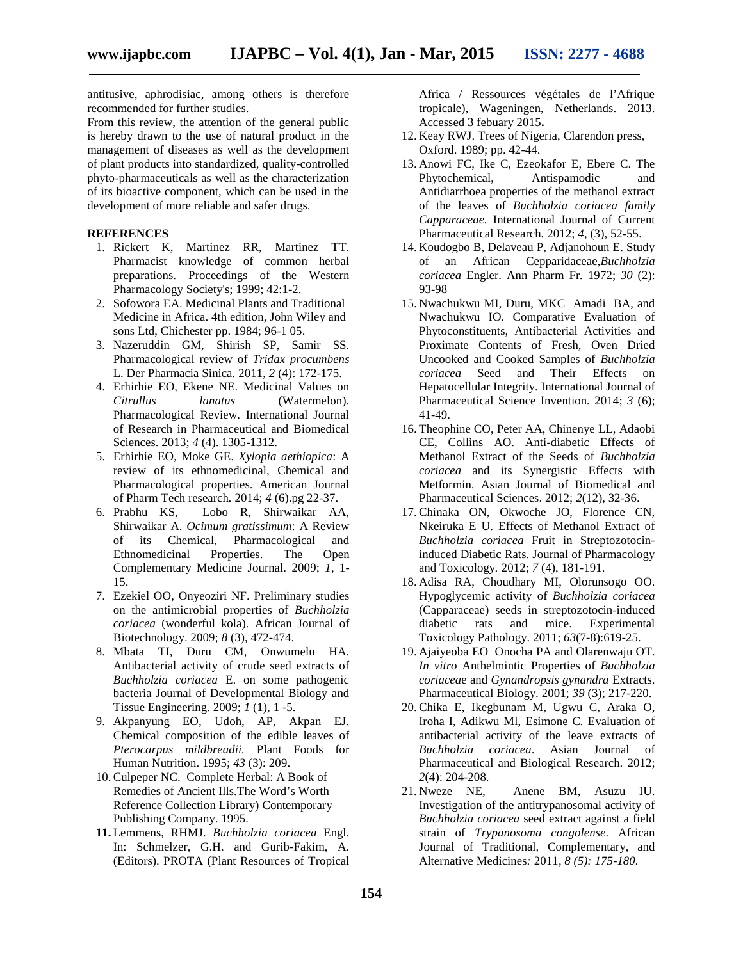antitusive, aphrodisiac, among others is therefore recommended for further studies.

From this review, the attention of the general public is hereby drawn to the use of natural product in the management of diseases as well as the development of plant products into standardized, quality-controlled phyto-pharmaceuticals as well as the characterization of its bioactive component, which can be used in the development of more reliable and safer drugs.

#### **REFERENCES**

- 1. Rickert K, Martinez RR, Martinez TT. Pharmacist knowledge of common herbal preparations. Proceedings of the Western Pharmacology Society's; 1999; 42:1-2.
- 2. Sofowora EA. Medicinal Plants and Traditional Medicine in Africa. 4th edition, John Wiley and sons Ltd, Chichester pp. 1984; 96-1 05.
- 3. Nazeruddin GM, Shirish SP, Samir SS. Pharmacological review of *Tridax procumbens* L. Der Pharmacia Sinica*.* 2011, *2* (4): 172-175.
- 4. Erhirhie EO, Ekene NE. Medicinal Values on *Citrullus lanatus* (Watermelon). Pharmacological Review. International Journal of Research in Pharmaceutical and Biomedical Sciences. 2013; *4* (4). 1305-1312.
- 5. Erhirhie EO, Moke GE. *Xylopia aethiopica*: A review of its ethnomedicinal, Chemical and Pharmacological properties. American Journal of Pharm Tech research*.* 2014; *4* (6).pg 22-37.
- 6. Prabhu KS, Lobo R, Shirwaikar AA, Shirwaikar A. *Ocimum gratissimum*: A Review of its Chemical, Pharmacological and Ethnomedicinal Properties. The Open Complementary Medicine Journal. 2009; *1*, 1- 15.
- 7. Ezekiel OO, Onyeoziri NF. Preliminary studies on the antimicrobial properties of *Buchholzia coriacea* (wonderful kola). African Journal of Biotechnology. 2009; *8* (3), 472-474.
- 8. Mbata TI, Duru CM, Onwumelu HA. Antibacterial activity of crude seed extracts of *Buchholzia coriacea* E. on some pathogenic bacteria Journal of Developmental Biology and Tissue Engineering. 2009; *1* (1), 1 -5.
- 9. Akpanyung EO, Udoh, AP, Akpan EJ. Chemical composition of the edible leaves of *Pterocarpus mildbreadii.* Plant Foods for Human Nutrition. 1995; *43* (3): 209.
- 10. Culpeper NC. Complete Herbal: A Book of Remedies of Ancient Ills.The Word's Worth Reference Collection Library) Contemporary Publishing Company. 1995.
- **11.** Lemmens, RHMJ. *Buchholzia coriacea* Engl. In: Schmelzer, G.H. and Gurib-Fakim, A. (Editors). PROTA (Plant Resources of Tropical

Africa / Ressources végétales de l'Afrique tropicale), Wageningen, Netherlands. 2013. Accessed 3 febuary 2015**.**

- 12. Keay RWJ. Trees of Nigeria, Clarendon press, Oxford. 1989; pp. 42-44.
- 13. Anowi FC, Ike C, Ezeokafor E, Ebere C. The Phytochemical, Antispamodic and Antidiarrhoea properties of the methanol extract of the leaves of *Buchholzia coriacea family Capparaceae.* International Journal of Current Pharmaceutical Research*.* 2012; *4*, (3), 52-55.
- 14. Koudogbo B, Delaveau P, Adjanohoun E. Study of an African Cepparidaceae,*Buchholzia coriacea* Engler. Ann Pharm Fr*.* 1972; *30* (2): 93-98
- 15. Nwachukwu MI, Duru, MKC Amadi BA, and Nwachukwu IO. Comparative Evaluation of Phytoconstituents, Antibacterial Activities and Proximate Contents of Fresh, Oven Dried Uncooked and Cooked Samples of *Buchholzia coriacea* Seed and Their Effects on Hepatocellular Integrity. International Journal of Pharmaceutical Science Invention*.* 2014; *3* (6); 41-49.
- 16. Theophine CO, Peter AA, Chinenye LL, Adaobi CE, Collins AO. Anti-diabetic Effects of Methanol Extract of the Seeds of *Buchholzia coriacea* and its Synergistic Effects with Metformin. Asian Journal of Biomedical and Pharmaceutical Sciences. 2012; *2*(12), 32-36.
- 17. Chinaka ON, Okwoche JO, Florence CN, Nkeiruka E U. Effects of Methanol Extract of *Buchholzia coriacea* Fruit in Streptozotocininduced Diabetic Rats. Journal of Pharmacology and Toxicology*.* 2012; *7* (4), 181-191.
- 18. Adisa RA, Choudhary MI, Olorunsogo OO. Hypoglycemic activity of *Buchholzia coriacea* (Capparaceae) seeds in streptozotocin-induced diabetic rats and mice. Experimental Toxicology Pathology. 2011; *63*(7-8):619-25.
- 19. Ajaiyeoba EO Onocha PA and Olarenwaju OT. *In vitro* Anthelmintic Properties of *Buchholzia coriacea*e and *Gynandropsis gynandra* Extracts. Pharmaceutical Biology. 2001; *39* (3); 217-220.
- 20. Chika E, Ikegbunam M, Ugwu C, Araka O, Iroha I, Adikwu Ml, Esimone C*.* Evaluation of antibacterial activity of the leave extracts of *Buchholzia coriacea*. Asian Journal of Pharmaceutical and Biological Research. 2012; *2*(4): 204-208.
- 21. Nweze NE, Anene BM, Asuzu IU. Investigation of the antitrypanosomal activity of *Buchholzia coriacea* seed extract against a field strain of *Trypanosoma congolense*. African Journal of Traditional, Complementary, and Alternative Medicines*:* 2011*, 8 (5): 175-180.*